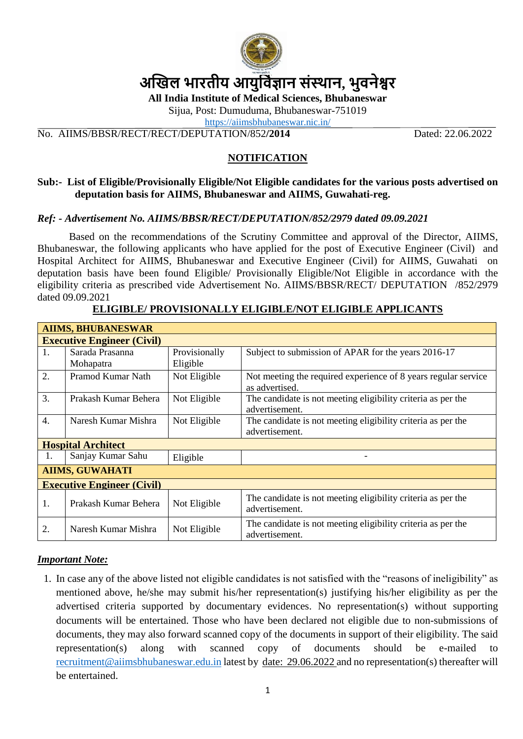

# **अखिल भारतीय आयुर्विज्ञान संस्थान, भुवनेश्वर**

**All India Institute of Medical Sciences, Bhubaneswar**

Sijua, Post: Dumuduma, Bhubaneswar-751019

<https://aiimsbhubaneswar.nic.in/>

No. AIIMS/BBSR/RECT/RECT/DEPUTATION/852**/2014** Dated: 22.06.2022

### **NOTIFICATION**

#### **Sub:- List of Eligible/Provisionally Eligible/Not Eligible candidates for the various posts advertised on deputation basis for AIIMS, Bhubaneswar and AIIMS, Guwahati-reg.**

#### *Ref: - Advertisement No. AIIMS/BBSR/RECT/DEPUTATION/852/2979 dated 09.09.2021*

Based on the recommendations of the Scrutiny Committee and approval of the Director, AIIMS, Bhubaneswar, the following applicants who have applied for the post of Executive Engineer (Civil) and Hospital Architect for AIIMS, Bhubaneswar and Executive Engineer (Civil) for AIIMS, Guwahati on deputation basis have been found Eligible/ Provisionally Eligible/Not Eligible in accordance with the eligibility criteria as prescribed vide Advertisement No. AIIMS/BBSR/RECT/ DEPUTATION /852/2979 dated 09.09.2021

| <b>AIIMS, BHUBANESWAR</b>         |                      |               |                                                                                  |
|-----------------------------------|----------------------|---------------|----------------------------------------------------------------------------------|
| <b>Executive Engineer (Civil)</b> |                      |               |                                                                                  |
| 1.                                | Sarada Prasanna      | Provisionally | Subject to submission of APAR for the years 2016-17                              |
|                                   | Mohapatra            | Eligible      |                                                                                  |
| 2.                                | Pramod Kumar Nath    | Not Eligible  | Not meeting the required experience of 8 years regular service<br>as advertised. |
| 3.                                | Prakash Kumar Behera | Not Eligible  | The candidate is not meeting eligibility criteria as per the<br>advertisement.   |
| $\overline{4}$ .                  | Naresh Kumar Mishra  | Not Eligible  | The candidate is not meeting eligibility criteria as per the<br>advertisement.   |
| <b>Hospital Architect</b>         |                      |               |                                                                                  |
| 1.                                | Sanjay Kumar Sahu    | Eligible      |                                                                                  |
| <b>AIIMS, GUWAHATI</b>            |                      |               |                                                                                  |
| <b>Executive Engineer (Civil)</b> |                      |               |                                                                                  |
| 1.                                | Prakash Kumar Behera | Not Eligible  | The candidate is not meeting eligibility criteria as per the<br>advertisement.   |
| 2.                                | Naresh Kumar Mishra  | Not Eligible  | The candidate is not meeting eligibility criteria as per the<br>advertisement.   |

## **ELIGIBLE/ PROVISIONALLY ELIGIBLE/NOT ELIGIBLE APPLICANTS**

#### *Important Note:*

1. In case any of the above listed not eligible candidates is not satisfied with the "reasons of ineligibility" as mentioned above, he/she may submit his/her representation(s) justifying his/her eligibility as per the advertised criteria supported by documentary evidences. No representation(s) without supporting documents will be entertained. Those who have been declared not eligible due to non-submissions of documents, they may also forward scanned copy of the documents in support of their eligibility. The said representation(s) along with scanned copy of documents should be e-mailed to [recruitment@aiimsbhubaneswar.edu.in](mailto:recruitment@aiimsbhubaneswar.edu.in) latest by date: 29.06.2022 and no representation(s) thereafter will be entertained.